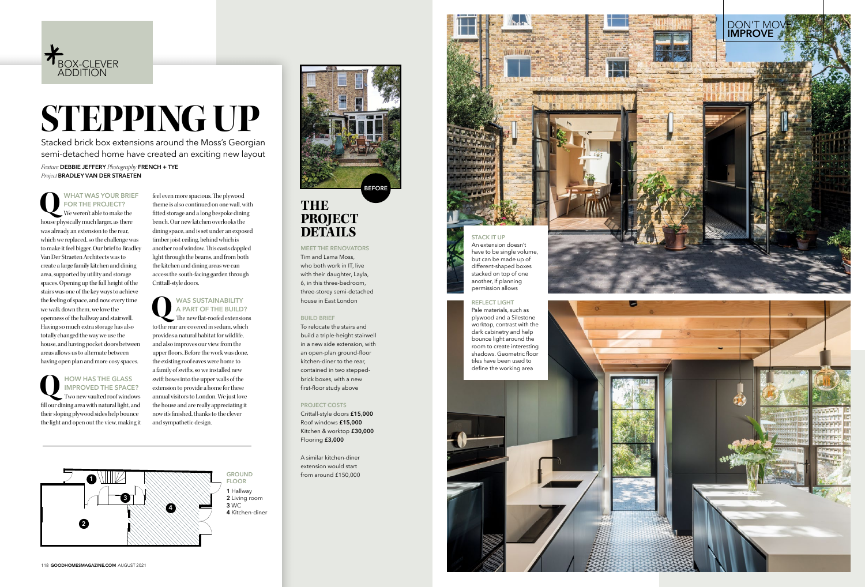



## **THE PROJECT DETAILS**

### **MEET THE RENOVATORS**

Tim and Lama Moss, who both work in IT, live with their daughter , Layla, 6, in this three-bedroom, three-storey semi-detached house in East London

#### **BUILD BRIEF**

To relocate the stairs and build a triple-height stairwell in a new side extension, with an open-plan ground-floor kitchen -diner to the rear, contained in two stepped brick boxes, with a new first -floor study above

#### **PROJECT COSTS**

Crittall-style doors **£15,000** Roof windows **£15,000** Kitchen & worktop **£30,000** Flooring **£3,000**

A similar kitchen-diner extension would start from around £150,000

**BEFORE**

## WAS SUSTAINABILITY<br>
A PART OF THE BUILD<br>
The new flat-roofed extension **A PART OF THE BUILD?**

**Q WHAT WAS YOUR BRIEF FOR THE PROJECT?** We weren't able to make the house physically much larger, as there was already an extension to the rear, which we replaced, so the challenge was to make it feel bigger. Our brief to Bradley Van Der Straeten Architects was to create a large family kitchen and dining area, supported by utility and storage spaces. Opening up the full height of the stairs was one of the key ways to achieve the feeling of space, and now every time we walk down them, we love the openness of the hallway and stairwell. Having so much extra storage has also totally changed the way we use the house, and having pocket doors between areas allows us to alternate between having open plan and more cosy spaces.



# **STEPPING UP**

**Q HOW HAS THE GLASS IMPROVED THE SPACE?** Two new vaulted roof windows fill our dining area with natural light, and their sloping plywood sides help bounce the light and open out the view, making it

feel even more spacious. The plywood theme is also continued on one wall, with fitted storage and a long bespoke dining bench. Our new kitchen overlooks the dining space, and is set under an exposed timber joist ceiling, behind which is another roof window. This casts dappled light through the beams, and from both the kitchen and dining areas we can access the south-facing garden through Crittall-style doors.

The new flat-roofed extensions to the rear are covered in sedum, which provides a natural habitat for wildlife, and also improves our view from the upper floors. Before the work was done, the existing roof eaves were home to a family of swifts, so we installed new swift boxes into the upper walls of the extension to provide a home for these annual visitors to London. We just love the house and are really appreciating it now it's finished, thanks to the clever and sympathetic design.

*Project* **BRADLEY VAN DER STRAETEN**

*Feature* **DEBBIE JEFFERY** *Photography* **FRENCH + TYE**  Stacked brick box extensions around the Moss's Georgian semi-detached home have create d an exciting new layout

### **STACK IT UP**

An extension doesn't have to be single volume, but can be made up of different -shaped boxes stacked on top of one





#### **REFLECT LIGHT**

Pale materials, such as plywood and a Silestone worktop, contrast with the dark cabinetry and help bounce light around the room to creat e interesting shadows . Geometric floor tiles have been used to define the working area